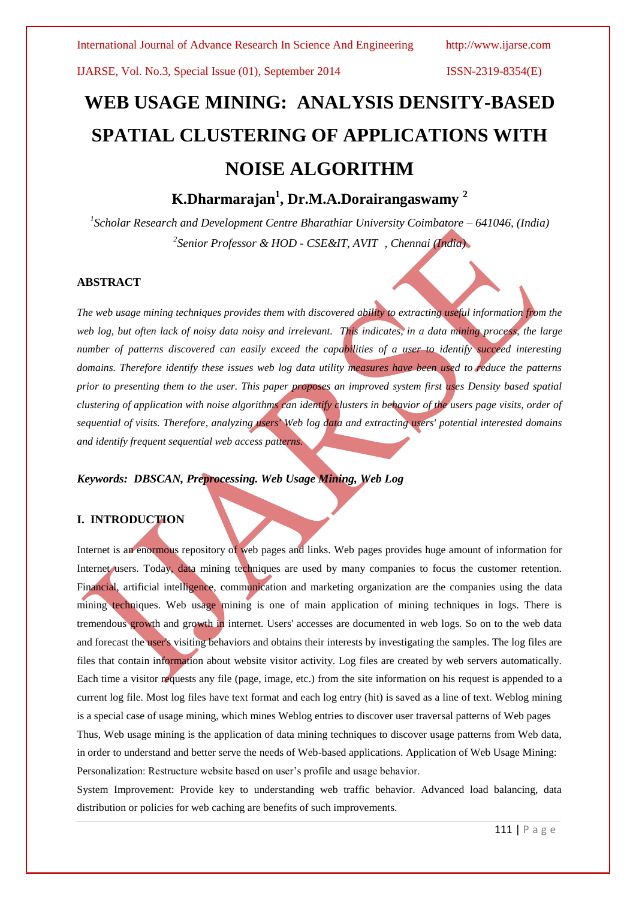# **WEB USAGE MINING: ANALYSIS DENSITY-BASED SPATIAL CLUSTERING OF APPLICATIONS WITH NOISE ALGORITHM**

# **K.Dharmarajan<sup>1</sup> , Dr.M.A.Dorairangaswamy <sup>2</sup>**

*1 Scholar Research and Development Centre Bharathiar University Coimbatore – 641046, (India) 2 Senior Professor & HOD - CSE&IT, AVIT , Chennai (India)*

#### **ABSTRACT**

*The web usage mining techniques provides them with discovered ability to extracting useful information from the*  web log, but often lack of noisy data noisy and irrelevant. This indicates, in a data mining process, the large *number of patterns discovered can easily exceed the capabilities of a user to identify succeed interesting domains. Therefore identify these issues web log data utility measures have been used to reduce the patterns prior to presenting them to the user. This paper proposes an improved system first uses Density based spatial clustering of application with noise algorithms can identify clusters in behavior of the users page visits, order of sequential of visits. Therefore, analyzing users' Web log data and extracting users' potential interested domains and identify frequent sequential web access patterns.*

#### *Keywords: DBSCAN, Preprocessing. Web Usage Mining, Web Log*

#### **I. INTRODUCTION**

Internet is an enormous repository of web pages and links. Web pages provides huge amount of information for Internet users. Today, data mining techniques are used by many companies to focus the customer retention. Financial, artificial intelligence, communication and marketing organization are the companies using the data mining techniques. Web usage mining is one of main application of mining techniques in logs. There is tremendous growth and growth in internet. Users' accesses are documented in web logs. So on to the web data and forecast the user's visiting behaviors and obtains their interests by investigating the samples. The log files are files that contain information about website visitor activity. Log files are created by web servers automatically. Each time a visitor requests any file (page, image, etc.) from the site information on his request is appended to a current log file. Most log files have text format and each log entry (hit) is saved as a line of text. Weblog mining is a special case of usage mining, which mines Weblog entries to discover user traversal patterns of Web pages Thus, Web usage mining is the application of data mining techniques to discover usage patterns from Web data, in order to understand and better serve the needs of Web-based applications. Application of Web Usage Mining: Personalization: Restructure website based on user's profile and usage behavior.

System Improvement: Provide key to understanding web traffic behavior. Advanced load balancing, data distribution or policies for web caching are benefits of such improvements.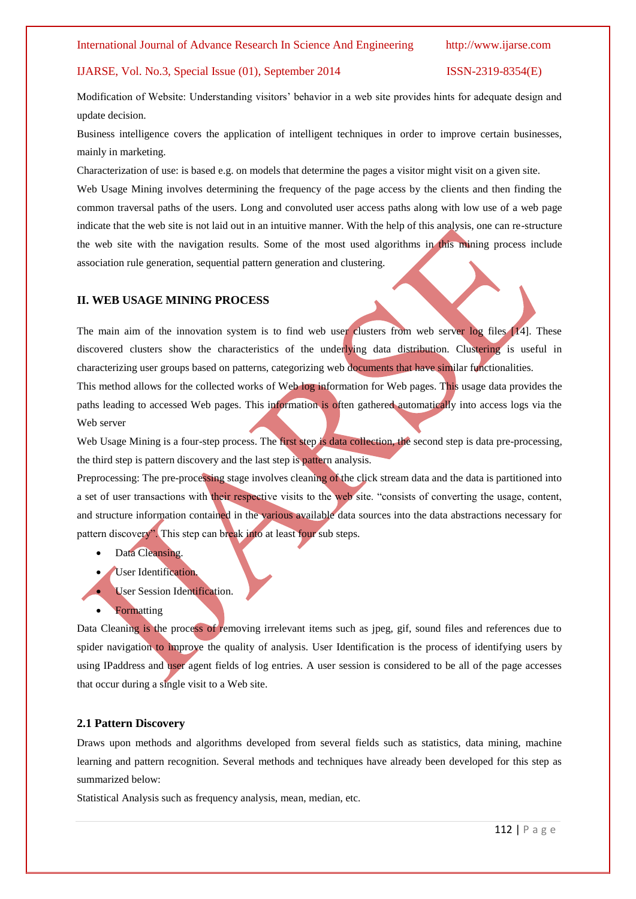Modification of Website: Understanding visitors' behavior in a web site provides hints for adequate design and update decision.

Business intelligence covers the application of intelligent techniques in order to improve certain businesses, mainly in marketing.

Characterization of use: is based e.g. on models that determine the pages a visitor might visit on a given site.

Web Usage Mining involves determining the frequency of the page access by the clients and then finding the common traversal paths of the users. Long and convoluted user access paths along with low use of a web page indicate that the web site is not laid out in an intuitive manner. With the help of this analysis, one can re-structure the web site with the navigation results. Some of the most used algorithms in this mining process include association rule generation, sequential pattern generation and clustering.

#### **II. WEB USAGE MINING PROCESS**

The main aim of the innovation system is to find web user clusters from web server log files [14]. These discovered clusters show the characteristics of the underlying data distribution. Clustering is useful in characterizing user groups based on patterns, categorizing web documents that have similar functionalities. This method allows for the collected works of Web log information for Web pages. This usage data provides the paths leading to accessed Web pages. This information is often gathered automatically into access logs via the

Web server

Web Usage Mining is a four-step process. The first step is data collection, the second step is data pre-processing, the third step is pattern discovery and the last step is pattern analysis.

Preprocessing: The pre-processing stage involves cleaning of the click stream data and the data is partitioned into a set of user transactions with their respective visits to the web site. "consists of converting the usage, content, and structure information contained in the various available data sources into the data abstractions necessary for pattern discovery". This step can break into at least four sub steps.

- Data Cleansing.
- User Identification.
- **User Session Identification.**
- Formatting

Data Cleaning is the process of removing irrelevant items such as jpeg, gif, sound files and references due to spider navigation to improve the quality of analysis. User Identification is the process of identifying users by using IPaddress and user agent fields of log entries. A user session is considered to be all of the page accesses that occur during a single visit to a Web site.

#### **2.1 Pattern Discovery**

Draws upon methods and algorithms developed from several fields such as statistics, data mining, machine learning and pattern recognition. Several methods and techniques have already been developed for this step as summarized below:

Statistical Analysis such as frequency analysis, mean, median, etc.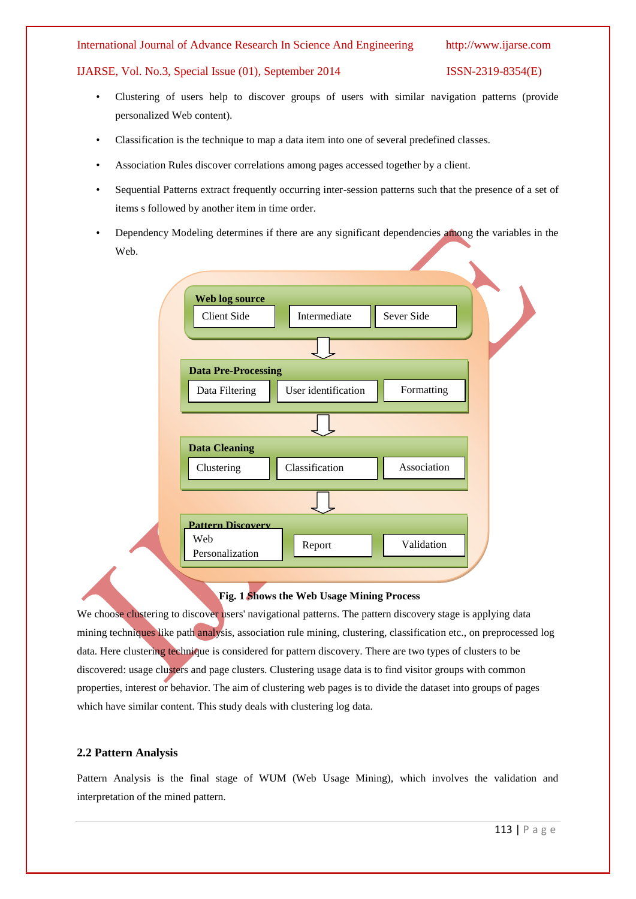#### International Journal of Advance Research In Science And Engineering http://www.ijarse.com

#### IJARSE, Vol. No.3, Special Issue (01), September 2014 ISSN-2319-8354(E)

- Clustering of users help to discover groups of users with similar navigation patterns (provide personalized Web content).
- Classification is the technique to map a data item into one of several predefined classes.
- Association Rules discover correlations among pages accessed together by a client.
- Sequential Patterns extract frequently occurring inter-session patterns such that the presence of a set of items s followed by another item in time order.
- Dependency Modeling determines if there are any significant dependencies among the variables in the Web.

| Web log source<br>Sever Side<br>Intermediate<br><b>Client Side</b><br><b>Data Pre-Processing</b><br>Formatting<br>User identification<br>Data Filtering<br>Association<br>Classification<br>Clustering |                          |  |
|--------------------------------------------------------------------------------------------------------------------------------------------------------------------------------------------------------|--------------------------|--|
|                                                                                                                                                                                                        |                          |  |
|                                                                                                                                                                                                        |                          |  |
|                                                                                                                                                                                                        |                          |  |
|                                                                                                                                                                                                        |                          |  |
|                                                                                                                                                                                                        |                          |  |
|                                                                                                                                                                                                        |                          |  |
|                                                                                                                                                                                                        |                          |  |
|                                                                                                                                                                                                        |                          |  |
|                                                                                                                                                                                                        | <b>Data Cleaning</b>     |  |
|                                                                                                                                                                                                        |                          |  |
|                                                                                                                                                                                                        |                          |  |
|                                                                                                                                                                                                        |                          |  |
|                                                                                                                                                                                                        | <b>Pattern Discovery</b> |  |
| Web<br>Validation<br>Report                                                                                                                                                                            |                          |  |
| Personalization                                                                                                                                                                                        |                          |  |

#### **Fig. 1 Shows the Web Usage Mining Process**

We choose clustering to discover users' navigational patterns. The pattern discovery stage is applying data mining techniques like path analysis, association rule mining, clustering, classification etc., on preprocessed log data. Here clustering technique is considered for pattern discovery. There are two types of clusters to be discovered: usage clusters and page clusters. Clustering usage data is to find visitor groups with common properties, interest or behavior. The aim of clustering web pages is to divide the dataset into groups of pages which have similar content. This study deals with clustering log data.

#### **2.2 Pattern Analysis**

Pattern Analysis is the final stage of WUM (Web Usage Mining), which involves the validation and interpretation of the mined pattern.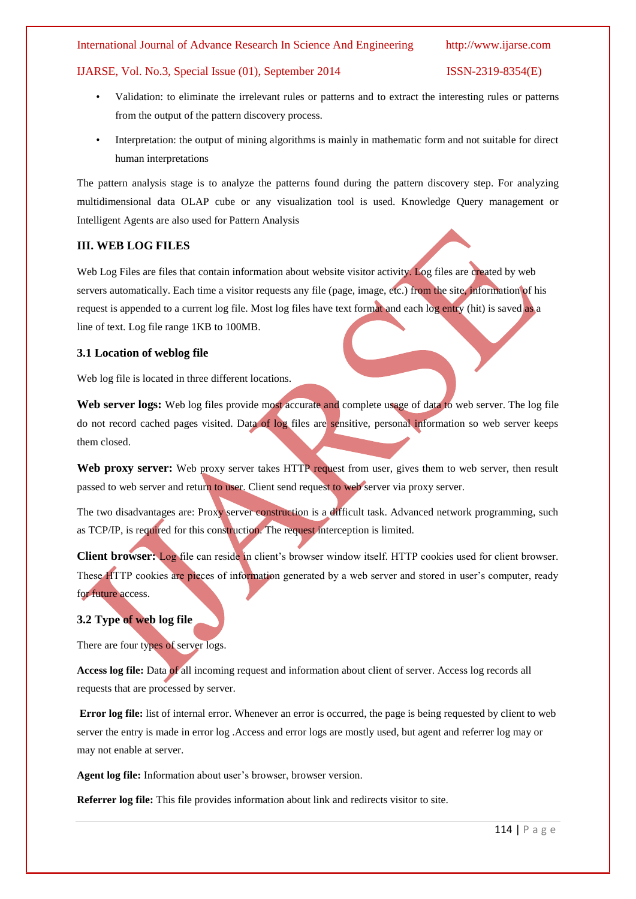International Journal of Advance Research In Science And Engineering http://www.ijarse.com

#### IJARSE, Vol. No.3, Special Issue (01), September 2014 ISSN-2319-8354(E)

- Validation: to eliminate the irrelevant rules or patterns and to extract the interesting rules or patterns from the output of the pattern discovery process.
- Interpretation: the output of mining algorithms is mainly in mathematic form and not suitable for direct human interpretations

The pattern analysis stage is to analyze the patterns found during the pattern discovery step. For analyzing multidimensional data OLAP cube or any visualization tool is used. Knowledge Query management or Intelligent Agents are also used for Pattern Analysis

#### **III. WEB LOG FILES**

Web Log Files are files that contain information about website visitor activity. Log files are created by web servers automatically. Each time a visitor requests any file (page, image, etc.) from the site, information of his request is appended to a current log file. Most log files have text format and each log entry (hit) is saved as a line of text. Log file range 1KB to 100MB.

#### **3.1 Location of weblog file**

Web log file is located in three different locations.

Web server logs: Web log files provide most accurate and complete usage of data to web server. The log file do not record cached pages visited. Data of log files are sensitive, personal information so web server keeps them closed.

Web proxy server: Web proxy server takes HTTP request from user, gives them to web server, then result passed to web server and return to user. Client send request to web server via proxy server.

The two disadvantages are: Proxy server construction is a difficult task. Advanced network programming, such as TCP/IP, is required for this construction. The request interception is limited.

**Client browser:** Log file can reside in client's browser window itself. HTTP cookies used for client browser. These HTTP cookies are pieces of information generated by a web server and stored in user's computer, ready for future access.

### **3.2 Type of web log file**

There are four types of server logs.

**Access log file:** Data of all incoming request and information about client of server. Access log records all requests that are processed by server.

**Error log file:** list of internal error. Whenever an error is occurred, the page is being requested by client to web server the entry is made in error log .Access and error logs are mostly used, but agent and referrer log may or may not enable at server.

**Agent log file:** Information about user's browser, browser version.

**Referrer log file:** This file provides information about link and redirects visitor to site.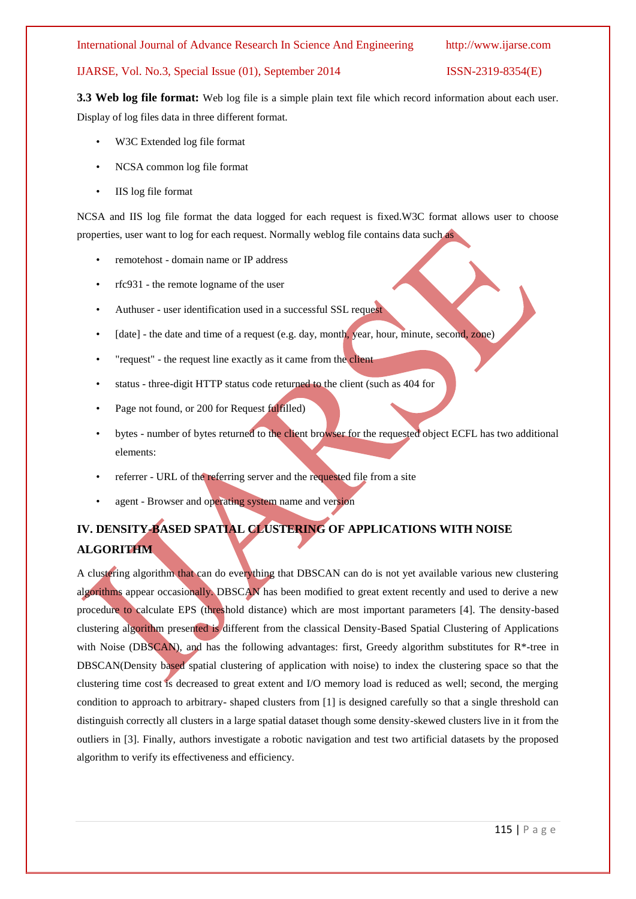International Journal of Advance Research In Science And Engineering http://www.ijarse.com

#### IJARSE, Vol. No.3, Special Issue (01), September 2014 ISSN-2319-8354(E)

**3.3 Web log file format:** Web log file is a simple plain text file which record information about each user. Display of log files data in three different format.

- W3C Extended log file format
- NCSA common log file format
- IIS log file format

NCSA and IIS log file format the data logged for each request is fixed.W3C format allows user to choose properties, user want to log for each request. Normally weblog file contains data such as

- remotehost domain name or IP address
- rfc931 the remote logname of the user
- Authuser user identification used in a successful SSL request
- [date] the date and time of a request (e.g. day, month, year, hour, minute, second, zone)
- "request" the request line exactly as it came from the client
- status three-digit HTTP status code returned to the client (such as 404 for
- Page not found, or 200 for Request fulfilled)
- bytes number of bytes returned to the client browser for the requested object ECFL has two additional elements:
- referrer URL of the referring server and the requested file from a site
- agent Browser and operating system name and version

# **IV. DENSITY-BASED SPATIAL CLUSTERING OF APPLICATIONS WITH NOISE ALGORITHM**

A clustering algorithm that can do everything that DBSCAN can do is not yet available various new clustering algorithms appear occasionally. DBSCAN has been modified to great extent recently and used to derive a new procedure to calculate EPS (threshold distance) which are most important parameters [4]. The density-based clustering algorithm presented is different from the classical Density-Based Spatial Clustering of Applications with Noise (DBSCAN), and has the following advantages: first, Greedy algorithm substitutes for  $R^*$ -tree in DBSCAN(Density based spatial clustering of application with noise) to index the clustering space so that the clustering time cost is decreased to great extent and I/O memory load is reduced as well; second, the merging condition to approach to arbitrary- shaped clusters from [1] is designed carefully so that a single threshold can distinguish correctly all clusters in a large spatial dataset though some density-skewed clusters live in it from the outliers in [3]. Finally, authors investigate a robotic navigation and test two artificial datasets by the proposed algorithm to verify its effectiveness and efficiency.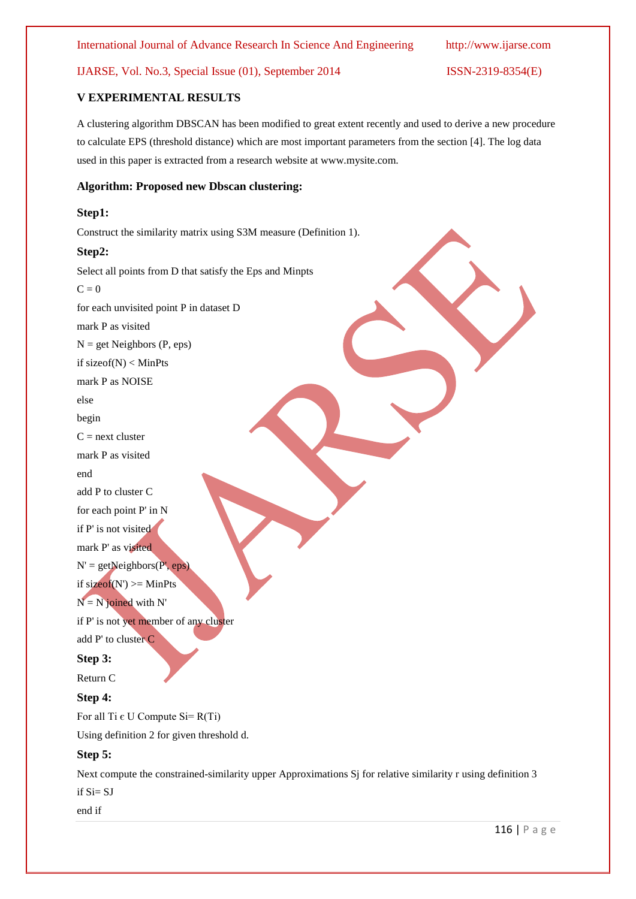# **V EXPERIMENTAL RESULTS**

A clustering algorithm DBSCAN has been modified to great extent recently and used to derive a new procedure to calculate EPS (threshold distance) which are most important parameters from the section [4]. The log data used in this paper is extracted from a research website at www.mysite.com.

## **Algorithm: Proposed new Dbscan clustering:**

#### **Step1:**

Construct the similarity matrix using S3M measure (Definition 1).

#### **Step2:**

Select all points from D that satisfy the Eps and Minpts  $C = 0$ for each unvisited point P in dataset D mark P as visited  $N = get Neighbors (P, eps)$ if sizeof(N) < MinPts mark P as NOISE else begin  $C =$  next cluster mark P as visited end add P to cluster C for each point P' in N if P' is not visited mark P' as visited  $N' = getNeighbors(P', eps)$ if  $sizeof(N') \geq MinPts$  $N = N$  joined with N' if P' is not yet member of any cluster add P' to cluster C **Step 3:** Return C **Step 4:** For all Ti  $\epsilon$  U Compute Si= R(Ti) Using definition 2 for given threshold d.

# **Step 5:**

Next compute the constrained-similarity upper Approximations Sj for relative similarity r using definition 3

if Si= SJ

end if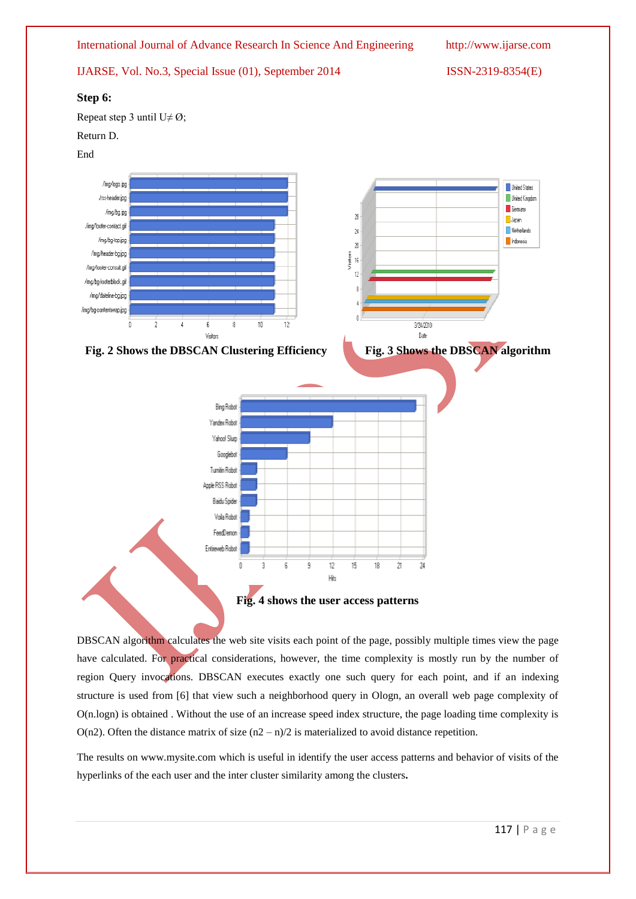

DBSCAN algorithm calculates the web site visits each point of the page, possibly multiple times view the page have calculated. For practical considerations, however, the time complexity is mostly run by the number of region Query invocations. DBSCAN executes exactly one such query for each point, and if an indexing structure is used from [6] that view such a neighborhood query in Ologn, an overall web page complexity of O(n.logn) is obtained . Without the use of an increase speed index structure, the page loading time complexity is  $O(n2)$ . Often the distance matrix of size  $(n2 - n)/2$  is materialized to avoid distance repetition.

The results on www.mysite.com which is useful in identify the user access patterns and behavior of visits of the hyperlinks of the each user and the inter cluster similarity among the clusters**.**